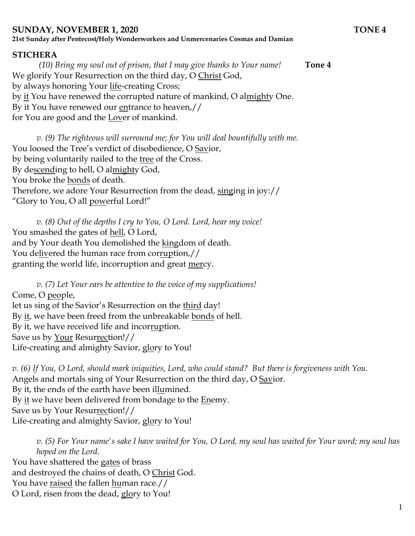## **SUNDAY, NOVEMBER 1, 2020 TONE 4**

**21st Sunday after Pentecost/Holy Wonderworkers and Unmercenaries Cosmas and Damian**

## **STICHERA**

*(10) Bring my soul out of prison, that I may give thanks to Your name!* **Tone 4** We glorify Your Resurrection on the third day, O Christ God, by always honoring Your life-creating Cross; by it You have renewed the corrupted nature of mankind, O almighty One. By it You have renewed our entrance to heaven,// for You are good and the Lover of mankind.

*v.* (9) The righteous will surround me; for You will deal bountifully with me. You loosed the Tree's verdict of disobedience, O Savior, by being voluntarily nailed to the tree of the Cross. By descending to hell, O almighty God, You broke the bonds of death. Therefore, we adore Your Resurrection from the dead, singing in joy:// "Glory to You, O all powerful Lord!"

*v. (8) Out of the depths I cry to You, O Lord. Lord, hear my voice!*  You smashed the gates of hell, O Lord, and by Your death You demolished the kingdom of death. You delivered the human race from corruption,// granting the world life, incorruption and great mercy.

*v. (7) Let Your ears be attentive to the voice of my supplications!* Come, O people, let us sing of the Savior's Resurrection on the third day! By it, we have been freed from the unbreakable bonds of hell. By it, we have received life and incorruption. Save us by Your Resurrection!// Life-creating and almighty Savior, glory to You!

*v. (6) If You, O Lord, should mark iniquities, Lord, who could stand? But there is forgiveness with You.*  Angels and mortals sing of Your Resurrection on the third day, O Savior. By it, the ends of the earth have been illumined. By it we have been delivered from bondage to the Enemy. Save us by Your Resurrection!// Life-creating and almighty Savior, glory to You!

*v. (5) For Your name's sake I have waited for You, O Lord, my soul has waited for Your word; my soul has hoped on the Lord.*  You have shattered the gates of brass and destroyed the chains of death, O Christ God. You have raised the fallen human race.// O Lord, risen from the dead, glory to You!

1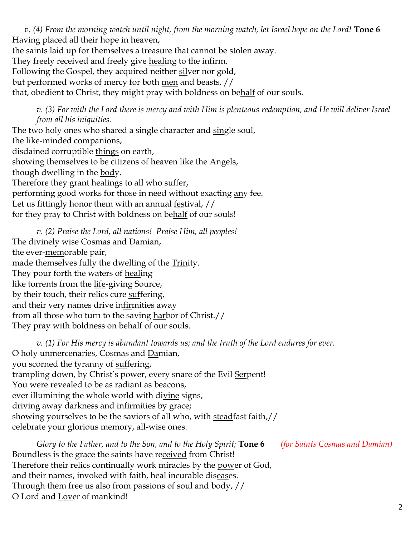*v. (4) From the morning watch until night, from the morning watch, let Israel hope on the Lord!* **Tone 6** Having placed all their hope in heaven, the saints laid up for themselves a treasure that cannot be stolen away. They freely received and freely give healing to the infirm. Following the Gospel, they acquired neither silver nor gold, but performed works of mercy for both men and beasts, // that, obedient to Christ, they might pray with boldness on behalf of our souls.

*v. (3) For with the Lord there is mercy and with Him is plenteous redemption, and He will deliver Israel from all his iniquities.*

The two holy ones who shared a single character and single soul, the like-minded companions, disdained corruptible things on earth, showing themselves to be citizens of heaven like the Angels, though dwelling in the body. Therefore they grant healings to all who suffer, performing good works for those in need without exacting any fee. Let us fittingly honor them with an annual festival, // for they pray to Christ with boldness on behalf of our souls!

*v. (2) Praise the Lord, all nations! Praise Him, all peoples!* The divinely wise Cosmas and Damian, the ever-memorable pair, made themselves fully the dwelling of the Trinity. They pour forth the waters of healing like torrents from the life-giving Source, by their touch, their relics cure suffering, and their very names drive infirmities away from all those who turn to the saving harbor of Christ.// They pray with boldness on behalf of our souls.

*v. (1) For His mercy is abundant towards us; and the truth of the Lord endures for ever.*  O holy unmercenaries, Cosmas and Damian, you scorned the tyranny of suffering, trampling down, by Christ's power, every snare of the Evil Serpent! You were revealed to be as radiant as beacons, ever illumining the whole world with divine signs, driving away darkness and infirmities by grace; showing yourselves to be the saviors of all who, with steadfast faith,// celebrate your glorious memory, all-wise ones.

*Glory to the Father, and to the Son, and to the Holy Spirit;* **Tone 6** *(for Saints Cosmas and Damian)* Boundless is the grace the saints have received from Christ! Therefore their relics continually work miracles by the power of God, and their names, invoked with faith, heal incurable diseases. Through them free us also from passions of soul and <u>body</u>, // O Lord and Lover of mankind!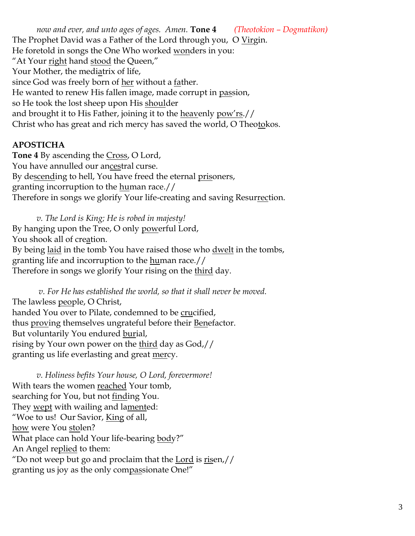*now and ever, and unto ages of ages. Amen.* **Tone 4** *(Theotokion – Dogmatikon)* The Prophet David was a Father of the Lord through you, O Virgin. He foretold in songs the One Who worked wonders in you: "At Your right hand stood the Queen," Your Mother, the mediatrix of life, since God was freely born of her without a father. He wanted to renew His fallen image, made corrupt in passion, so He took the lost sheep upon His shoulder and brought it to His Father, joining it to the heavenly pow'rs.// Christ who has great and rich mercy has saved the world, O Theotokos.

## **APOSTICHA**

**Tone 4** By ascending the Cross, O Lord, You have annulled our ancestral curse. By descending to hell, You have freed the eternal prisoners, granting incorruption to the human race.// Therefore in songs we glorify Your life-creating and saving Resurrection.

*v. The Lord is King; He is robed in majesty!*  By hanging upon the Tree, O only powerful Lord, You shook all of creation. By being laid in the tomb You have raised those who dwelt in the tombs, granting life and incorruption to the human race.// Therefore in songs we glorify Your rising on the third day.

*v. For He has established the world, so that it shall never be moved.* The lawless people, O Christ, handed You over to Pilate, condemned to be crucified, thus proving themselves ungrateful before their Benefactor. But voluntarily You endured burial, rising by Your own power on the third day as God,// granting us life everlasting and great mercy.

*v. Holiness befits Your house, O Lord, forevermore!*  With tears the women reached Your tomb, searching for You, but not finding You. They wept with wailing and lamented: "Woe to us! Our Savior, King of all, how were You stolen? What place can hold Your life-bearing body?" An Angel replied to them: "Do not weep but go and proclaim that the  $Lord$  is risen,  $//$ </u> granting us joy as the only compassionate One!"